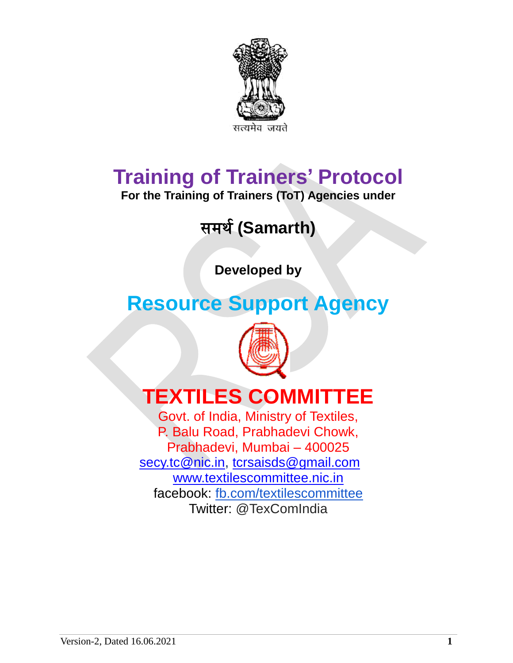

# **Training of Trainers' Protocol**

**For the Training of Trainers (ToT) Agencies under**

## समर्थ**(Samarth)**

**Developed by**

## **Resource Support Agency**



# **TEXTILES COMMITTEE**

Govt. of India, Ministry of Textiles, P. Balu Road, Prabhadevi Chowk, Prabhadevi, Mumbai – 400025 [secy.tc@nic.in,](mailto:secy.tc@nic.in) [tcrsaisds@gmail.com](mailto:tcrsaisds@gmail.com) [www.textilescommittee.nic.in](http://www.textilescommittee.nic.in/) facebook: [fb.com/textilescommittee](http://fb.com/) Twitter: @TexComIndia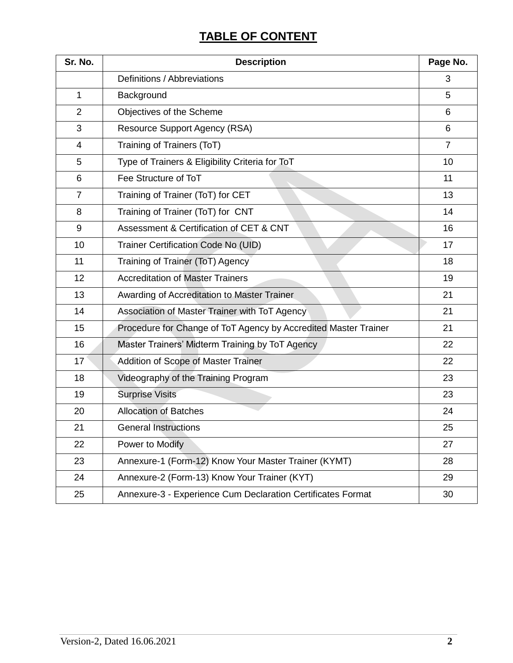## **TABLE OF CONTENT**

| Sr. No.        | <b>Description</b>                                              | Page No.       |
|----------------|-----------------------------------------------------------------|----------------|
|                | Definitions / Abbreviations                                     | 3              |
| 1              | Background                                                      | 5              |
| $\overline{2}$ | Objectives of the Scheme                                        | 6              |
| 3              | <b>Resource Support Agency (RSA)</b>                            | 6              |
| 4              | Training of Trainers (ToT)                                      | $\overline{7}$ |
| 5              | Type of Trainers & Eligibility Criteria for ToT                 | 10             |
| 6              | Fee Structure of ToT                                            | 11             |
| $\overline{7}$ | Training of Trainer (ToT) for CET                               | 13             |
| 8              | Training of Trainer (ToT) for CNT                               | 14             |
| 9              | Assessment & Certification of CET & CNT                         | 16             |
| 10             | Trainer Certification Code No (UID)                             | 17             |
| 11             | Training of Trainer (ToT) Agency                                | 18             |
| 12             | <b>Accreditation of Master Trainers</b>                         | 19             |
| 13             | Awarding of Accreditation to Master Trainer                     | 21             |
| 14             | Association of Master Trainer with ToT Agency                   | 21             |
| 15             | Procedure for Change of ToT Agency by Accredited Master Trainer | 21             |
| 16             | Master Trainers' Midterm Training by ToT Agency                 | 22             |
| 17             | Addition of Scope of Master Trainer                             | 22             |
| 18             | Videography of the Training Program                             | 23             |
| 19             | <b>Surprise Visits</b>                                          | 23             |
| 20             | <b>Allocation of Batches</b>                                    | 24             |
| 21             | <b>General Instructions</b>                                     | 25             |
| 22             | Power to Modify                                                 | 27             |
| 23             | Annexure-1 (Form-12) Know Your Master Trainer (KYMT)            | 28             |
| 24             | Annexure-2 (Form-13) Know Your Trainer (KYT)                    | 29             |
| 25             | Annexure-3 - Experience Cum Declaration Certificates Format     | 30             |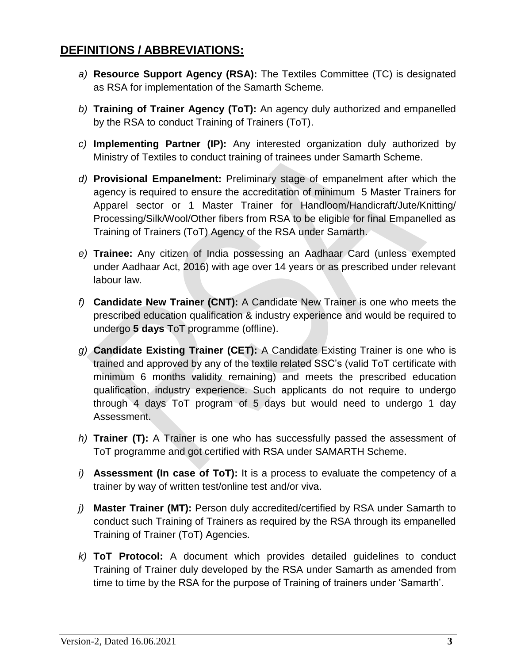## **DEFINITIONS / ABBREVIATIONS:**

- *a)* **Resource Support Agency (RSA):** The Textiles Committee (TC) is designated as RSA for implementation of the Samarth Scheme.
- *b)* **Training of Trainer Agency (ToT):** An agency duly authorized and empanelled by the RSA to conduct Training of Trainers (ToT).
- *c)* **Implementing Partner (IP):** Any interested organization duly authorized by Ministry of Textiles to conduct training of trainees under Samarth Scheme.
- *d)* **Provisional Empanelment:** Preliminary stage of empanelment after which the agency is required to ensure the accreditation of minimum 5 Master Trainers for Apparel sector or 1 Master Trainer for Handloom/Handicraft/Jute/Knitting/ Processing/Silk/Wool/Other fibers from RSA to be eligible for final Empanelled as Training of Trainers (ToT) Agency of the RSA under Samarth.
- *e)* **Trainee:** Any citizen of India possessing an Aadhaar Card (unless exempted under Aadhaar Act, 2016) with age over 14 years or as prescribed under relevant labour law.
- *f)* **Candidate New Trainer (CNT):** A Candidate New Trainer is one who meets the prescribed education qualification & industry experience and would be required to undergo **5 days** ToT programme (offline).
- *g)* **Candidate Existing Trainer (CET):** A Candidate Existing Trainer is one who is trained and approved by any of the textile related SSC's (valid ToT certificate with minimum 6 months validity remaining) and meets the prescribed education qualification, industry experience. Such applicants do not require to undergo through 4 days ToT program of 5 days but would need to undergo 1 day Assessment.
- *h)* **Trainer (T):** A Trainer is one who has successfully passed the assessment of ToT programme and got certified with RSA under SAMARTH Scheme.
- *i)* **Assessment (In case of ToT):** It is a process to evaluate the competency of a trainer by way of written test/online test and/or viva.
- *j)* **Master Trainer (MT):** Person duly accredited/certified by RSA under Samarth to conduct such Training of Trainers as required by the RSA through its empanelled Training of Trainer (ToT) Agencies.
- *k)* **ToT Protocol:** A document which provides detailed guidelines to conduct Training of Trainer duly developed by the RSA under Samarth as amended from time to time by the RSA for the purpose of Training of trainers under 'Samarth'.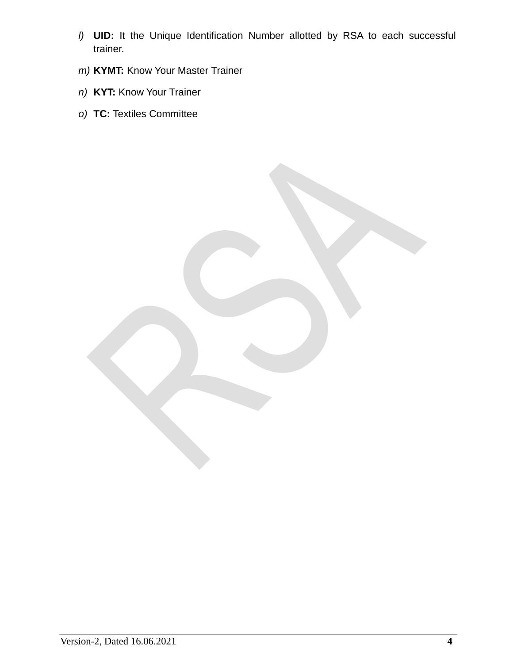- *l)* **UID:** It the Unique Identification Number allotted by RSA to each successful trainer.
- *m)* **KYMT:** Know Your Master Trainer
- *n)* **KYT:** Know Your Trainer
- *o)* **TC:** Textiles Committee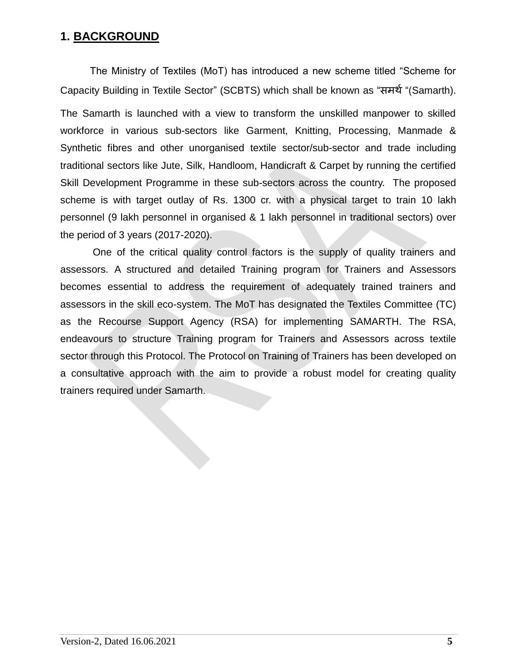### **1. BACKGROUND**

The Ministry of Textiles (MoT) has introduced a new scheme titled "Scheme for Capacity Building in Textile Sector" (SCBTS) which shall be known as "समर्थ"(Samarth). The Samarth is launched with a view to transform the unskilled manpower to skilled workforce in various sub-sectors like Garment, Knitting, Processing, Manmade & Synthetic fibres and other unorganised textile sector/sub-sector and trade including traditional sectors like Jute, Silk, Handloom, Handicraft & Carpet by running the certified Skill Development Programme in these sub-sectors across the country. The proposed scheme is with target outlay of Rs. 1300 cr. with a physical target to train 10 lakh personnel (9 lakh personnel in organised & 1 lakh personnel in traditional sectors) over the period of 3 years (2017-2020).

One of the critical quality control factors is the supply of quality trainers and assessors. A structured and detailed Training program for Trainers and Assessors becomes essential to address the requirement of adequately trained trainers and assessors in the skill eco-system. The MoT has designated the Textiles Committee (TC) as the Recourse Support Agency (RSA) for implementing SAMARTH. The RSA, endeavours to structure Training program for Trainers and Assessors across textile sector through this Protocol. The Protocol on Training of Trainers has been developed on a consultative approach with the aim to provide a robust model for creating quality trainers required under Samarth.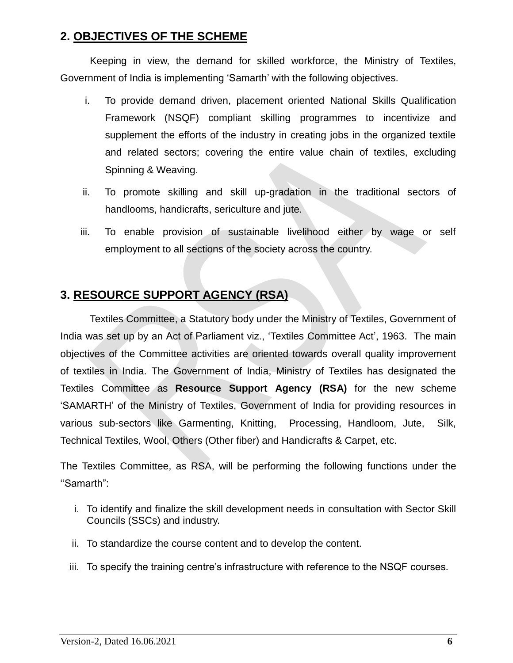## **2. OBJECTIVES OF THE SCHEME**

Keeping in view, the demand for skilled workforce, the Ministry of Textiles, Government of India is implementing 'Samarth' with the following objectives.

- i. To provide demand driven, placement oriented National Skills Qualification Framework (NSQF) compliant skilling programmes to incentivize and supplement the efforts of the industry in creating jobs in the organized textile and related sectors; covering the entire value chain of textiles, excluding Spinning & Weaving.
- ii. To promote skilling and skill up-gradation in the traditional sectors of handlooms, handicrafts, sericulture and jute.
- iii. To enable provision of sustainable livelihood either by wage or self employment to all sections of the society across the country.

## **3. RESOURCE SUPPORT AGENCY (RSA)**

Textiles Committee, a Statutory body under the Ministry of Textiles, Government of India was set up by an Act of Parliament viz., 'Textiles Committee Act', 1963. The main objectives of the Committee activities are oriented towards overall quality improvement of textiles in India. The Government of India, Ministry of Textiles has designated the Textiles Committee as **Resource Support Agency (RSA)** for the new scheme 'SAMARTH' of the Ministry of Textiles, Government of India for providing resources in various sub-sectors like Garmenting, Knitting, Processing, Handloom, Jute, Silk, Technical Textiles, Wool, Others (Other fiber) and Handicrafts & Carpet, etc.

The Textiles Committee, as RSA, will be performing the following functions under the ''Samarth":

- i. To identify and finalize the skill development needs in consultation with Sector Skill Councils (SSCs) and industry.
- ii. To standardize the course content and to develop the content.
- iii. To specify the training centre's infrastructure with reference to the NSQF courses.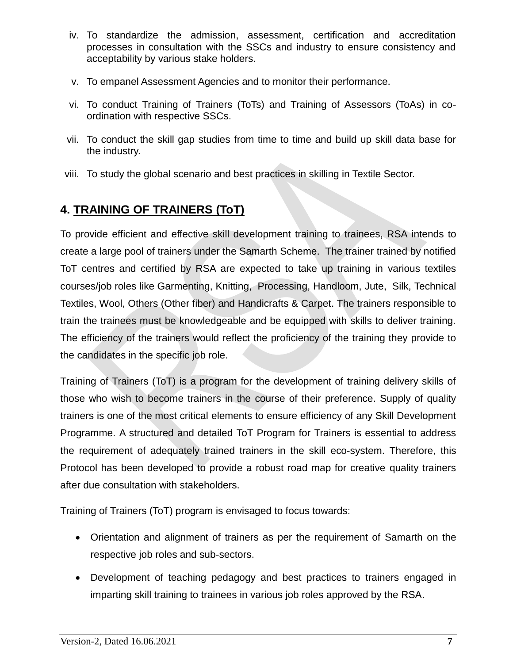- iv. To standardize the admission, assessment, certification and accreditation processes in consultation with the SSCs and industry to ensure consistency and acceptability by various stake holders.
- v. To empanel Assessment Agencies and to monitor their performance.
- vi. To conduct Training of Trainers (ToTs) and Training of Assessors (ToAs) in coordination with respective SSCs.
- vii. To conduct the skill gap studies from time to time and build up skill data base for the industry.
- viii. To study the global scenario and best practices in skilling in Textile Sector.

## **4. TRAINING OF TRAINERS (ToT)**

To provide efficient and effective skill development training to trainees, RSA intends to create a large pool of trainers under the Samarth Scheme. The trainer trained by notified ToT centres and certified by RSA are expected to take up training in various textiles courses/job roles like Garmenting, Knitting, Processing, Handloom, Jute, Silk, Technical Textiles, Wool, Others (Other fiber) and Handicrafts & Carpet. The trainers responsible to train the trainees must be knowledgeable and be equipped with skills to deliver training. The efficiency of the trainers would reflect the proficiency of the training they provide to the candidates in the specific job role.

Training of Trainers (ToT) is a program for the development of training delivery skills of those who wish to become trainers in the course of their preference. Supply of quality trainers is one of the most critical elements to ensure efficiency of any Skill Development Programme. A structured and detailed ToT Program for Trainers is essential to address the requirement of adequately trained trainers in the skill eco-system. Therefore, this Protocol has been developed to provide a robust road map for creative quality trainers after due consultation with stakeholders.

Training of Trainers (ToT) program is envisaged to focus towards:

- Orientation and alignment of trainers as per the requirement of Samarth on the respective job roles and sub-sectors.
- Development of teaching pedagogy and best practices to trainers engaged in imparting skill training to trainees in various job roles approved by the RSA.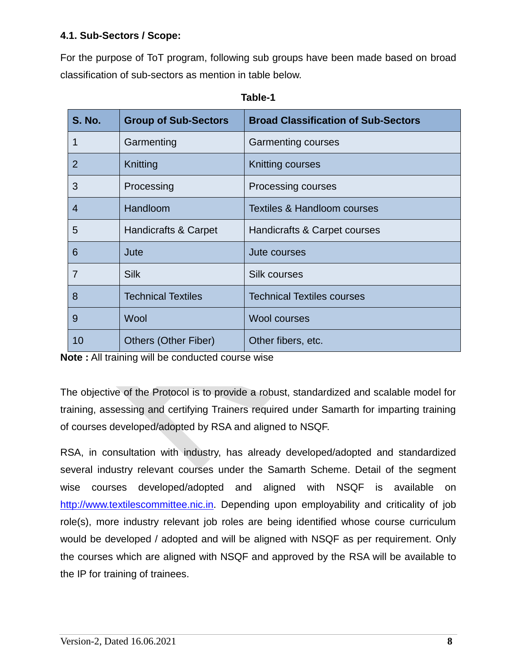#### **4.1. Sub-Sectors / Scope:**

For the purpose of ToT program, following sub groups have been made based on broad classification of sub-sectors as mention in table below.

| <b>S. No.</b> | <b>Group of Sub-Sectors</b> | <b>Broad Classification of Sub-Sectors</b> |
|---------------|-----------------------------|--------------------------------------------|
| 1             | Garmenting                  | <b>Garmenting courses</b>                  |
| 2             | Knitting                    | Knitting courses                           |
| 3             | Processing                  | Processing courses                         |
| 4             | Handloom                    | <b>Textiles &amp; Handloom courses</b>     |
| 5             | Handicrafts & Carpet        | Handicrafts & Carpet courses               |
| 6             | Jute                        | Jute courses                               |
| 7             | <b>Silk</b>                 | <b>Silk courses</b>                        |
| 8             | <b>Technical Textiles</b>   | <b>Technical Textiles courses</b>          |
| 9             | Wool                        | <b>Wool courses</b>                        |
| 10            | Others (Other Fiber)        | Other fibers, etc.                         |

| able |
|------|
|------|

**Note :** All training will be conducted course wise

The objective of the Protocol is to provide a robust, standardized and scalable model for training, assessing and certifying Trainers required under Samarth for imparting training of courses developed/adopted by RSA and aligned to NSQF.

RSA, in consultation with industry, has already developed/adopted and standardized several industry relevant courses under the Samarth Scheme. Detail of the segment wise courses developed/adopted and aligned with NSQF is available on [http://www.textilescommittee.nic.in.](http://www.textilescommittee.nic.in/) Depending upon employability and criticality of job role(s), more industry relevant job roles are being identified whose course curriculum would be developed / adopted and will be aligned with NSQF as per requirement. Only the courses which are aligned with NSQF and approved by the RSA will be available to the IP for training of trainees.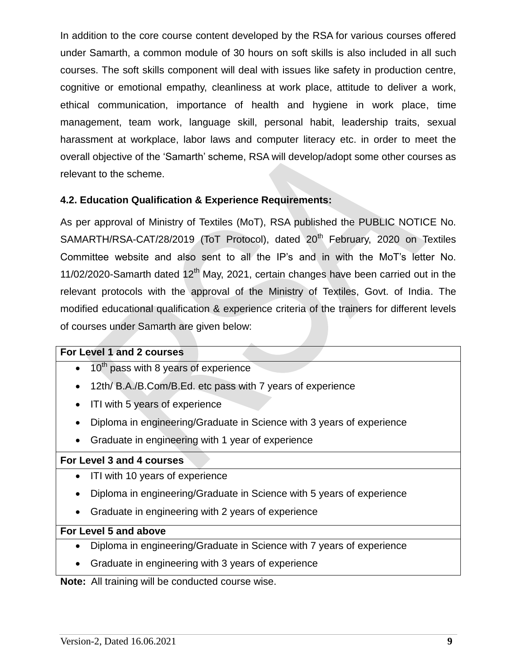In addition to the core course content developed by the RSA for various courses offered under Samarth, a common module of 30 hours on soft skills is also included in all such courses. The soft skills component will deal with issues like safety in production centre, cognitive or emotional empathy, cleanliness at work place, attitude to deliver a work, ethical communication, importance of health and hygiene in work place, time management, team work, language skill, personal habit, leadership traits, sexual harassment at workplace, labor laws and computer literacy etc. in order to meet the overall objective of the 'Samarth' scheme, RSA will develop/adopt some other courses as relevant to the scheme.

#### **4.2. Education Qualification & Experience Requirements:**

As per approval of Ministry of Textiles (MoT), RSA published the PUBLIC NOTICE No. SAMARTH/RSA-CAT/28/2019 (ToT Protocol), dated 20<sup>th</sup> February, 2020 on Textiles Committee website and also sent to all the IP's and in with the MoT's letter No. 11/02/2020-Samarth dated  $12<sup>th</sup>$  May, 2021, certain changes have been carried out in the relevant protocols with the approval of the Ministry of Textiles, Govt. of India. The modified educational qualification & experience criteria of the trainers for different levels of courses under Samarth are given below:

#### **For Level 1 and 2 courses**

- $\bullet$  10<sup>th</sup> pass with 8 years of experience
- 12th/ B.A./B.Com/B.Ed. etc pass with 7 years of experience
- ITI with 5 years of experience
- Diploma in engineering/Graduate in Science with 3 years of experience
- Graduate in engineering with 1 year of experience

#### **For Level 3 and 4 courses**

- ITI with 10 years of experience
- Diploma in engineering/Graduate in Science with 5 years of experience
- Graduate in engineering with 2 years of experience

#### **For Level 5 and above**

- Diploma in engineering/Graduate in Science with 7 years of experience
- Graduate in engineering with 3 years of experience

**Note:** All training will be conducted course wise.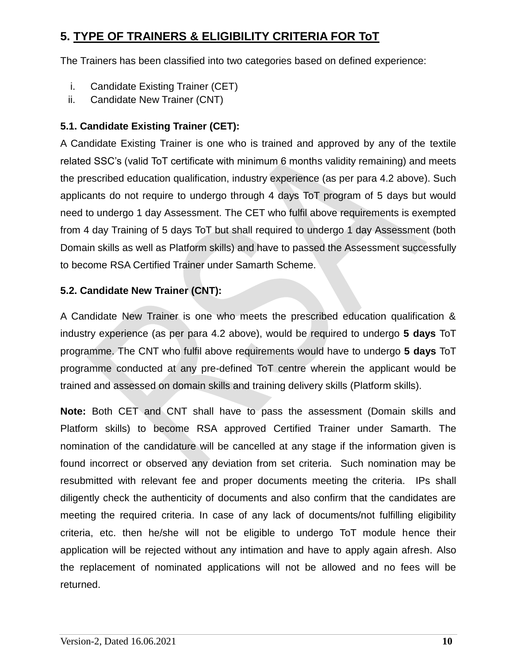## **5. TYPE OF TRAINERS & ELIGIBILITY CRITERIA FOR ToT**

The Trainers has been classified into two categories based on defined experience:

- i. Candidate Existing Trainer (CET)
- ii. Candidate New Trainer (CNT)

#### **5.1. Candidate Existing Trainer (CET):**

A Candidate Existing Trainer is one who is trained and approved by any of the textile related SSC's (valid ToT certificate with minimum 6 months validity remaining) and meets the prescribed education qualification, industry experience (as per para 4.2 above). Such applicants do not require to undergo through 4 days ToT program of 5 days but would need to undergo 1 day Assessment. The CET who fulfil above requirements is exempted from 4 day Training of 5 days ToT but shall required to undergo 1 day Assessment (both Domain skills as well as Platform skills) and have to passed the Assessment successfully to become RSA Certified Trainer under Samarth Scheme.

#### **5.2. Candidate New Trainer (CNT):**

A Candidate New Trainer is one who meets the prescribed education qualification & industry experience (as per para 4.2 above), would be required to undergo **5 days** ToT programme. The CNT who fulfil above requirements would have to undergo **5 days** ToT programme conducted at any pre-defined ToT centre wherein the applicant would be trained and assessed on domain skills and training delivery skills (Platform skills).

**Note:** Both CET and CNT shall have to pass the assessment (Domain skills and Platform skills) to become RSA approved Certified Trainer under Samarth. The nomination of the candidature will be cancelled at any stage if the information given is found incorrect or observed any deviation from set criteria. Such nomination may be resubmitted with relevant fee and proper documents meeting the criteria. IPs shall diligently check the authenticity of documents and also confirm that the candidates are meeting the required criteria. In case of any lack of documents/not fulfilling eligibility criteria, etc. then he/she will not be eligible to undergo ToT module hence their application will be rejected without any intimation and have to apply again afresh. Also the replacement of nominated applications will not be allowed and no fees will be returned.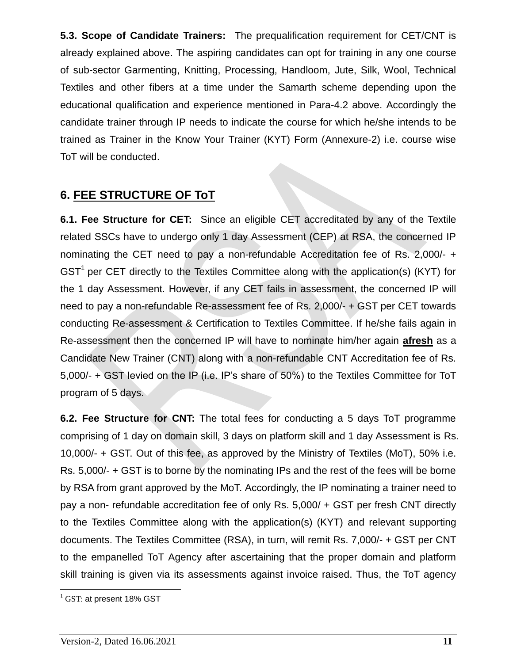**5.3. Scope of Candidate Trainers:** The prequalification requirement for CET/CNT is already explained above. The aspiring candidates can opt for training in any one course of sub-sector Garmenting, Knitting, Processing, Handloom, Jute, Silk, Wool, Technical Textiles and other fibers at a time under the Samarth scheme depending upon the educational qualification and experience mentioned in Para-4.2 above. Accordingly the candidate trainer through IP needs to indicate the course for which he/she intends to be trained as Trainer in the Know Your Trainer (KYT) Form (Annexure-2) i.e. course wise ToT will be conducted.

### **6. FEE STRUCTURE OF ToT**

**6.1. Fee Structure for CET:** Since an eligible CET accreditated by any of the Textile related SSCs have to undergo only 1 day Assessment (CEP) at RSA, the concerned IP nominating the CET need to pay a non-refundable Accreditation fee of Rs. 2,000/- + GST<sup>1</sup> per CET directly to the Textiles Committee along with the application(s) (KYT) for the 1 day Assessment. However, if any CET fails in assessment, the concerned IP will need to pay a non-refundable Re-assessment fee of Rs. 2,000/- + GST per CET towards conducting Re-assessment & Certification to Textiles Committee. If he/she fails again in Re-assessment then the concerned IP will have to nominate him/her again **afresh** as a Candidate New Trainer (CNT) along with a non-refundable CNT Accreditation fee of Rs. 5,000/- + GST levied on the IP (i.e. IP's share of 50%) to the Textiles Committee for ToT program of 5 days.

**6.2. Fee Structure for CNT:** The total fees for conducting a 5 days ToT programme comprising of 1 day on domain skill, 3 days on platform skill and 1 day Assessment is Rs. 10,000/- + GST. Out of this fee, as approved by the Ministry of Textiles (MoT), 50% i.e. Rs. 5,000/- + GST is to borne by the nominating IPs and the rest of the fees will be borne by RSA from grant approved by the MoT. Accordingly, the IP nominating a trainer need to pay a non- refundable accreditation fee of only Rs. 5,000/ + GST per fresh CNT directly to the Textiles Committee along with the application(s) (KYT) and relevant supporting documents. The Textiles Committee (RSA), in turn, will remit Rs. 7,000/- + GST per CNT to the empanelled ToT Agency after ascertaining that the proper domain and platform skill training is given via its assessments against invoice raised. Thus, the ToT agency

 $\overline{a}$ 

 $^{1}$  GST: at present 18% GST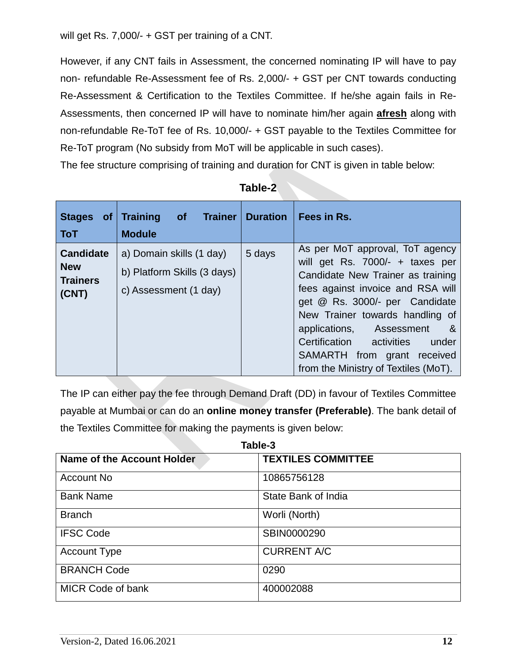will get Rs. 7,000/- + GST per training of a CNT.

However, if any CNT fails in Assessment, the concerned nominating IP will have to pay non- refundable Re-Assessment fee of Rs. 2,000/- + GST per CNT towards conducting Re-Assessment & Certification to the Textiles Committee. If he/she again fails in Re-Assessments, then concerned IP will have to nominate him/her again **afresh** along with non-refundable Re-ToT fee of Rs. 10,000/- + GST payable to the Textiles Committee for Re-ToT program (No subsidy from MoT will be applicable in such cases).

The fee structure comprising of training and duration for CNT is given in table below:

| Stages of Training<br><b>ToT</b>                           | of Trainer<br><b>Module</b>                                                      | <b>Duration</b> | Fees in Rs.                                                                                                                                                                                                                                                                                                                                                         |
|------------------------------------------------------------|----------------------------------------------------------------------------------|-----------------|---------------------------------------------------------------------------------------------------------------------------------------------------------------------------------------------------------------------------------------------------------------------------------------------------------------------------------------------------------------------|
| <b>Candidate</b><br><b>New</b><br><b>Trainers</b><br>(CNT) | a) Domain skills (1 day)<br>b) Platform Skills (3 days)<br>c) Assessment (1 day) | 5 days          | As per MoT approval, ToT agency<br>will get Rs. 7000/- + taxes per<br>Candidate New Trainer as training<br>fees against invoice and RSA will<br>get @ Rs. 3000/- per Candidate<br>New Trainer towards handling of<br>applications, Assessment<br>- &<br>Certification<br>activities<br>under<br>SAMARTH from grant received<br>from the Ministry of Textiles (MoT). |

**Table-2**

The IP can either pay the fee through Demand Draft (DD) in favour of Textiles Committee payable at Mumbai or can do an **online money transfer (Preferable)**. The bank detail of the Textiles Committee for making the payments is given below:

| Table-3                    |                           |  |  |
|----------------------------|---------------------------|--|--|
| Name of the Account Holder | <b>TEXTILES COMMITTEE</b> |  |  |
| Account No                 | 10865756128               |  |  |
| <b>Bank Name</b>           | State Bank of India       |  |  |
| <b>Branch</b>              | Worli (North)             |  |  |
| <b>IFSC Code</b>           | SBIN0000290               |  |  |
| <b>Account Type</b>        | <b>CURRENT A/C</b>        |  |  |
| <b>BRANCH Code</b>         | 0290                      |  |  |
| <b>MICR Code of bank</b>   | 400002088                 |  |  |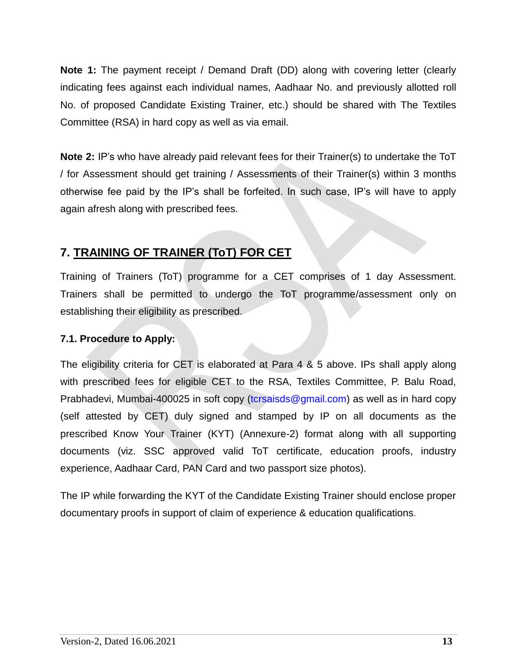**Note 1:** The payment receipt / Demand Draft (DD) along with covering letter (clearly indicating fees against each individual names, Aadhaar No. and previously allotted roll No. of proposed Candidate Existing Trainer, etc.) should be shared with The Textiles Committee (RSA) in hard copy as well as via email.

**Note 2:** IP's who have already paid relevant fees for their Trainer(s) to undertake the ToT / for Assessment should get training / Assessments of their Trainer(s) within 3 months otherwise fee paid by the IP's shall be forfeited. In such case, IP's will have to apply again afresh along with prescribed fees.

## **7. TRAINING OF TRAINER (ToT) FOR CET**

Training of Trainers (ToT) programme for a CET comprises of 1 day Assessment. Trainers shall be permitted to undergo the ToT programme/assessment only on establishing their eligibility as prescribed.

#### **7.1. Procedure to Apply:**

The eligibility criteria for CET is elaborated at Para 4 & 5 above. IPs shall apply along with prescribed fees for eligible CET to the RSA, Textiles Committee, P. Balu Road, Prabhadevi, Mumbai-400025 in soft copy (torsaisds@gmail.com) as well as in hard copy (self attested by CET) duly signed and stamped by IP on all documents as the prescribed Know Your Trainer (KYT) (Annexure-2) format along with all supporting documents (viz. SSC approved valid ToT certificate, education proofs, industry experience, Aadhaar Card, PAN Card and two passport size photos).

The IP while forwarding the KYT of the Candidate Existing Trainer should enclose proper documentary proofs in support of claim of experience & education qualifications.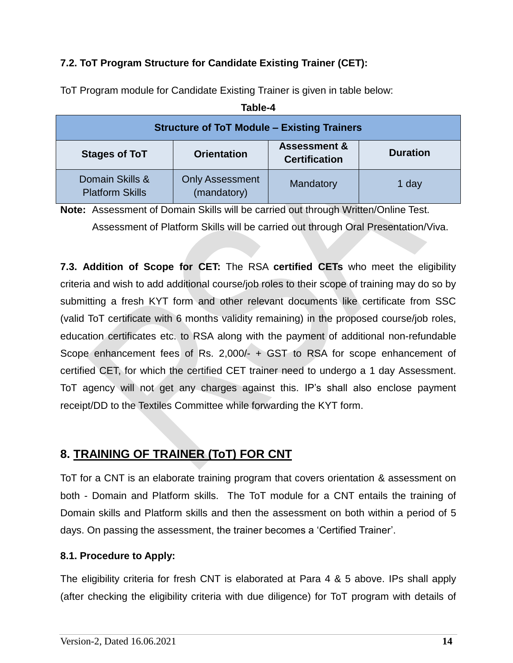#### **7.2. ToT Program Structure for Candidate Existing Trainer (CET):**

| <b>Structure of ToT Module - Existing Trainers</b>                                                               |                                       |           |       |  |  |
|------------------------------------------------------------------------------------------------------------------|---------------------------------------|-----------|-------|--|--|
| <b>Assessment &amp;</b><br><b>Duration</b><br><b>Stages of ToT</b><br><b>Orientation</b><br><b>Certification</b> |                                       |           |       |  |  |
| Domain Skills &<br><b>Platform Skills</b>                                                                        | <b>Only Assessment</b><br>(mandatory) | Mandatory | 1 day |  |  |

**Table-4**

ToT Program module for Candidate Existing Trainer is given in table below:

**Note:** Assessment of Domain Skills will be carried out through Written/Online Test. Assessment of Platform Skills will be carried out through Oral Presentation/Viva.

**7.3. Addition of Scope for CET:** The RSA **certified CETs** who meet the eligibility criteria and wish to add additional course/job roles to their scope of training may do so by submitting a fresh KYT form and other relevant documents like certificate from SSC (valid ToT certificate with 6 months validity remaining) in the proposed course/job roles, education certificates etc. to RSA along with the payment of additional non-refundable Scope enhancement fees of Rs. 2,000/- + GST to RSA for scope enhancement of certified CET, for which the certified CET trainer need to undergo a 1 day Assessment. ToT agency will not get any charges against this. IP's shall also enclose payment receipt/DD to the Textiles Committee while forwarding the KYT form.

## **8. TRAINING OF TRAINER (ToT) FOR CNT**

ToT for a CNT is an elaborate training program that covers orientation & assessment on both - Domain and Platform skills. The ToT module for a CNT entails the training of Domain skills and Platform skills and then the assessment on both within a period of 5 days. On passing the assessment, the trainer becomes a 'Certified Trainer'.

#### **8.1. Procedure to Apply:**

The eligibility criteria for fresh CNT is elaborated at Para 4 & 5 above. IPs shall apply (after checking the eligibility criteria with due diligence) for ToT program with details of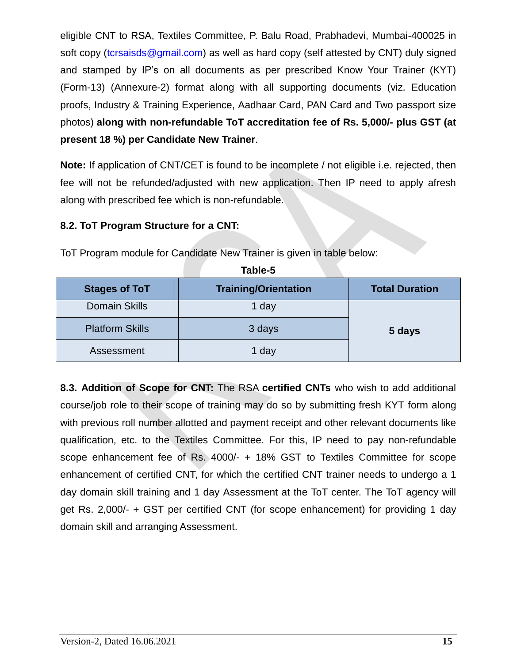eligible CNT to RSA, Textiles Committee, P. Balu Road, Prabhadevi, Mumbai-400025 in soft copy [\(tcrsaisds@gmail.com\)](mailto:tcrsaisds@gmail.com) as well as hard copy (self attested by CNT) duly signed and stamped by IP's on all documents as per prescribed Know Your Trainer (KYT) (Form-13) (Annexure-2) format along with all supporting documents (viz. Education proofs, Industry & Training Experience, Aadhaar Card, PAN Card and Two passport size photos) **along with non-refundable ToT accreditation fee of Rs. 5,000/- plus GST (at present 18 %) per Candidate New Trainer**.

**Note:** If application of CNT/CET is found to be incomplete / not eligible i.e. rejected, then fee will not be refunded/adjusted with new application. Then IP need to apply afresh along with prescribed fee which is non-refundable.

#### **8.2. ToT Program Structure for a CNT:**

ToT Program module for Candidate New Trainer is given in table below:

| <b>Stages of ToT</b>   | <b>Training/Orientation</b> | <b>Total Duration</b> |
|------------------------|-----------------------------|-----------------------|
| <b>Domain Skills</b>   | 1 day                       |                       |
| <b>Platform Skills</b> | 3 days                      | 5 days                |
| Assessment             | 1 day                       |                       |

**Table-5**

**8.3. Addition of Scope for CNT:** The RSA **certified CNTs** who wish to add additional course/job role to their scope of training may do so by submitting fresh KYT form along with previous roll number allotted and payment receipt and other relevant documents like qualification, etc. to the Textiles Committee. For this, IP need to pay non-refundable scope enhancement fee of Rs. 4000/- + 18% GST to Textiles Committee for scope enhancement of certified CNT, for which the certified CNT trainer needs to undergo a 1 day domain skill training and 1 day Assessment at the ToT center. The ToT agency will get Rs. 2,000/- + GST per certified CNT (for scope enhancement) for providing 1 day domain skill and arranging Assessment.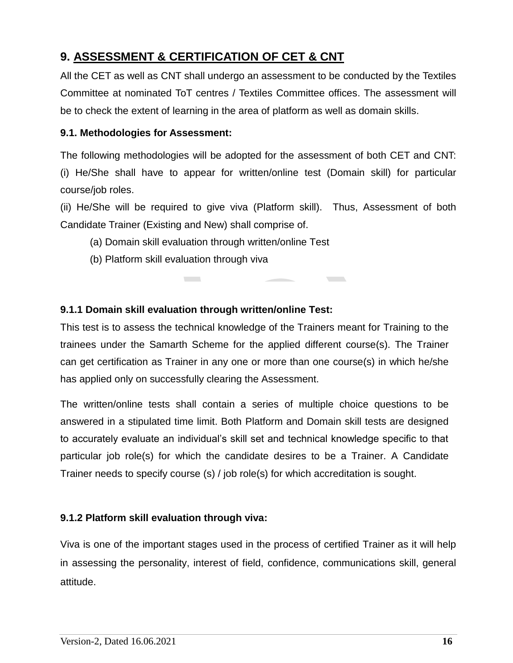## **9. ASSESSMENT & CERTIFICATION OF CET & CNT**

All the CET as well as CNT shall undergo an assessment to be conducted by the Textiles Committee at nominated ToT centres / Textiles Committee offices. The assessment will be to check the extent of learning in the area of platform as well as domain skills.

#### **9.1. Methodologies for Assessment:**

The following methodologies will be adopted for the assessment of both CET and CNT: (i) He/She shall have to appear for written/online test (Domain skill) for particular course/job roles.

(ii) He/She will be required to give viva (Platform skill). Thus, Assessment of both Candidate Trainer (Existing and New) shall comprise of.

- (a) Domain skill evaluation through written/online Test
- (b) Platform skill evaluation through viva

#### **9.1.1 Domain skill evaluation through written/online Test:**

 $\mathcal{L}^{\text{max}}$ 

This test is to assess the technical knowledge of the Trainers meant for Training to the trainees under the Samarth Scheme for the applied different course(s). The Trainer can get certification as Trainer in any one or more than one course(s) in which he/she has applied only on successfully clearing the Assessment.

The written/online tests shall contain a series of multiple choice questions to be answered in a stipulated time limit. Both Platform and Domain skill tests are designed to accurately evaluate an individual's skill set and technical knowledge specific to that particular job role(s) for which the candidate desires to be a Trainer. A Candidate Trainer needs to specify course (s) / job role(s) for which accreditation is sought.

#### **9.1.2 Platform skill evaluation through viva:**

Viva is one of the important stages used in the process of certified Trainer as it will help in assessing the personality, interest of field, confidence, communications skill, general attitude.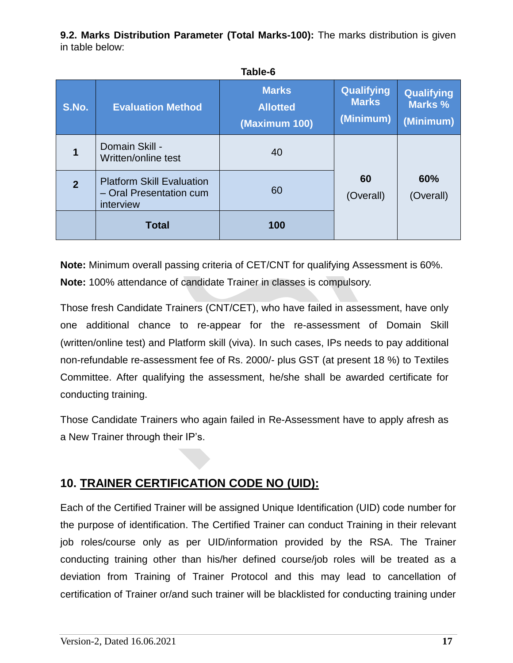**9.2. Marks Distribution Parameter (Total Marks-100):** The marks distribution is given in table below:

|                |                                                                          | Table-6                                          |                                                |                                    |
|----------------|--------------------------------------------------------------------------|--------------------------------------------------|------------------------------------------------|------------------------------------|
| S.No.          | <b>Evaluation Method</b>                                                 | <b>Marks</b><br><b>Allotted</b><br>(Maximum 100) | <b>Qualifying</b><br><b>Marks</b><br>(Minimum) | Qualifying<br>Marks %<br>(Minimum) |
|                | Domain Skill -<br>Written/online test                                    | 40                                               |                                                |                                    |
| $\overline{2}$ | <b>Platform Skill Evaluation</b><br>- Oral Presentation cum<br>interview | 60                                               | 60<br>(Overall)                                | 60%<br>(Overall)                   |
|                | <b>Total</b>                                                             | 100                                              |                                                |                                    |

**Note:** Minimum overall passing criteria of CET/CNT for qualifying Assessment is 60%. **Note:** 100% attendance of candidate Trainer in classes is compulsory.

Those fresh Candidate Trainers (CNT/CET), who have failed in assessment, have only one additional chance to re-appear for the re-assessment of Domain Skill (written/online test) and Platform skill (viva). In such cases, IPs needs to pay additional non-refundable re-assessment fee of Rs. 2000/- plus GST (at present 18 %) to Textiles Committee. After qualifying the assessment, he/she shall be awarded certificate for conducting training.

Those Candidate Trainers who again failed in Re-Assessment have to apply afresh as a New Trainer through their IP's.

## **10. TRAINER CERTIFICATION CODE NO (UID):**

Each of the Certified Trainer will be assigned Unique Identification (UID) code number for the purpose of identification. The Certified Trainer can conduct Training in their relevant job roles/course only as per UID/information provided by the RSA. The Trainer conducting training other than his/her defined course/job roles will be treated as a deviation from Training of Trainer Protocol and this may lead to cancellation of certification of Trainer or/and such trainer will be blacklisted for conducting training under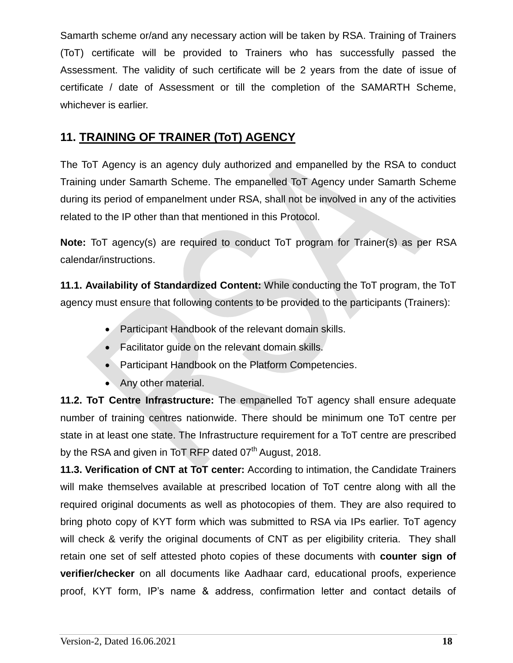Samarth scheme or/and any necessary action will be taken by RSA. Training of Trainers (ToT) certificate will be provided to Trainers who has successfully passed the Assessment. The validity of such certificate will be 2 years from the date of issue of certificate / date of Assessment or till the completion of the SAMARTH Scheme, whichever is earlier.

## **11. TRAINING OF TRAINER (ToT) AGENCY**

The ToT Agency is an agency duly authorized and empanelled by the RSA to conduct Training under Samarth Scheme. The empanelled ToT Agency under Samarth Scheme during its period of empanelment under RSA, shall not be involved in any of the activities related to the IP other than that mentioned in this Protocol.

**Note:** ToT agency(s) are required to conduct ToT program for Trainer(s) as per RSA calendar/instructions.

**11.1. Availability of Standardized Content:** While conducting the ToT program, the ToT agency must ensure that following contents to be provided to the participants (Trainers):

- Participant Handbook of the relevant domain skills.
- Facilitator guide on the relevant domain skills.
- Participant Handbook on the Platform Competencies.
- Any other material.

**11.2. ToT Centre Infrastructure:** The empanelled ToT agency shall ensure adequate number of training centres nationwide. There should be minimum one ToT centre per state in at least one state. The Infrastructure requirement for a ToT centre are prescribed by the RSA and given in ToT RFP dated 07<sup>th</sup> August, 2018.

**11.3. Verification of CNT at ToT center:** According to intimation, the Candidate Trainers will make themselves available at prescribed location of ToT centre along with all the required original documents as well as photocopies of them. They are also required to bring photo copy of KYT form which was submitted to RSA via IPs earlier. ToT agency will check & verify the original documents of CNT as per eligibility criteria. They shall retain one set of self attested photo copies of these documents with **counter sign of verifier/checker** on all documents like Aadhaar card, educational proofs, experience proof, KYT form, IP's name & address, confirmation letter and contact details of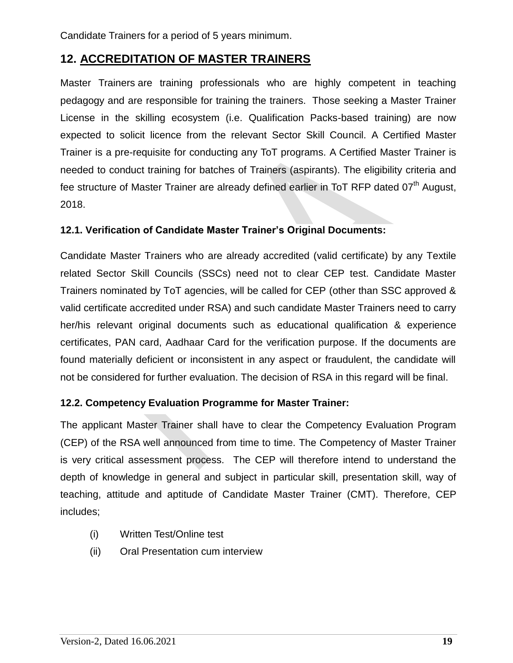Candidate Trainers for a period of 5 years minimum.

## **12. ACCREDITATION OF MASTER TRAINERS**

Master Trainers are training professionals who are highly competent in teaching pedagogy and are responsible for training the trainers. Those seeking a Master Trainer License in the skilling ecosystem (i.e. Qualification Packs-based training) are now expected to solicit licence from the relevant Sector Skill Council. A Certified Master Trainer is a pre-requisite for conducting any ToT programs. A Certified Master Trainer is needed to conduct training for batches of Trainers (aspirants). The eligibility criteria and fee structure of Master Trainer are already defined earlier in ToT RFP dated 07<sup>th</sup> August, 2018.

#### **12.1. Verification of Candidate Master Trainer's Original Documents:**

Candidate Master Trainers who are already accredited (valid certificate) by any Textile related Sector Skill Councils (SSCs) need not to clear CEP test. Candidate Master Trainers nominated by ToT agencies, will be called for CEP (other than SSC approved & valid certificate accredited under RSA) and such candidate Master Trainers need to carry her/his relevant original documents such as educational qualification & experience certificates, PAN card, Aadhaar Card for the verification purpose. If the documents are found materially deficient or inconsistent in any aspect or fraudulent, the candidate will not be considered for further evaluation. The decision of RSA in this regard will be final.

#### **12.2. Competency Evaluation Programme for Master Trainer:**

The applicant Master Trainer shall have to clear the Competency Evaluation Program (CEP) of the RSA well announced from time to time. The Competency of Master Trainer is very critical assessment process. The CEP will therefore intend to understand the depth of knowledge in general and subject in particular skill, presentation skill, way of teaching, attitude and aptitude of Candidate Master Trainer (CMT). Therefore, CEP includes;

- (i) Written Test/Online test
- (ii) Oral Presentation cum interview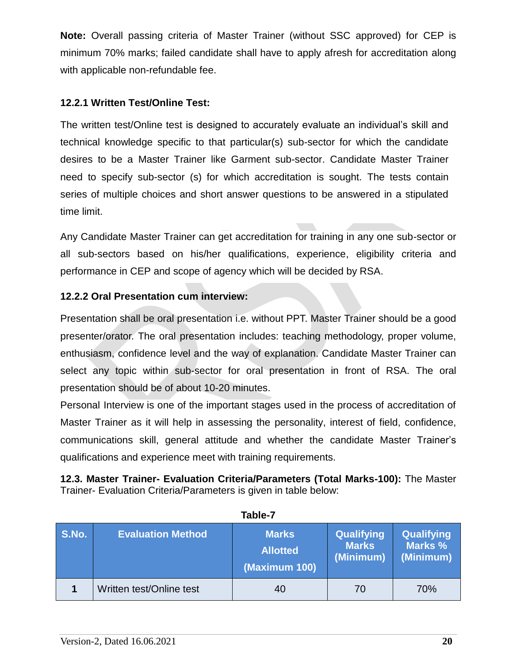**Note:** Overall passing criteria of Master Trainer (without SSC approved) for CEP is minimum 70% marks; failed candidate shall have to apply afresh for accreditation along with applicable non-refundable fee.

#### **12.2.1 Written Test/Online Test:**

The written test/Online test is designed to accurately evaluate an individual's skill and technical knowledge specific to that particular(s) sub-sector for which the candidate desires to be a Master Trainer like Garment sub-sector. Candidate Master Trainer need to specify sub-sector (s) for which accreditation is sought. The tests contain series of multiple choices and short answer questions to be answered in a stipulated time limit.

Any Candidate Master Trainer can get accreditation for training in any one sub-sector or all sub-sectors based on his/her qualifications, experience, eligibility criteria and performance in CEP and scope of agency which will be decided by RSA.

#### **12.2.2 Oral Presentation cum interview:**

Presentation shall be oral presentation i.e. without PPT. Master Trainer should be a good presenter/orator. The oral presentation includes: teaching methodology, proper volume, enthusiasm, confidence level and the way of explanation. Candidate Master Trainer can select any topic within sub-sector for oral presentation in front of RSA. The oral presentation should be of about 10-20 minutes.

Personal Interview is one of the important stages used in the process of accreditation of Master Trainer as it will help in assessing the personality, interest of field, confidence, communications skill, general attitude and whether the candidate Master Trainer's qualifications and experience meet with training requirements.

**12.3. Master Trainer- Evaluation Criteria/Parameters (Total Marks-100):** The Master Trainer- Evaluation Criteria/Parameters is given in table below:

| S.No. | <b>Evaluation Method</b> | <b>Marks</b><br><b>Allotted</b><br>(Maximum 100) | Qualifying<br><b>Marks</b><br>(Minimum) | <b>Qualifying</b><br>Marks %<br>(Minimum) |
|-------|--------------------------|--------------------------------------------------|-----------------------------------------|-------------------------------------------|
|       | Written test/Online test | 40                                               | 70                                      | 70%                                       |

**Table-7**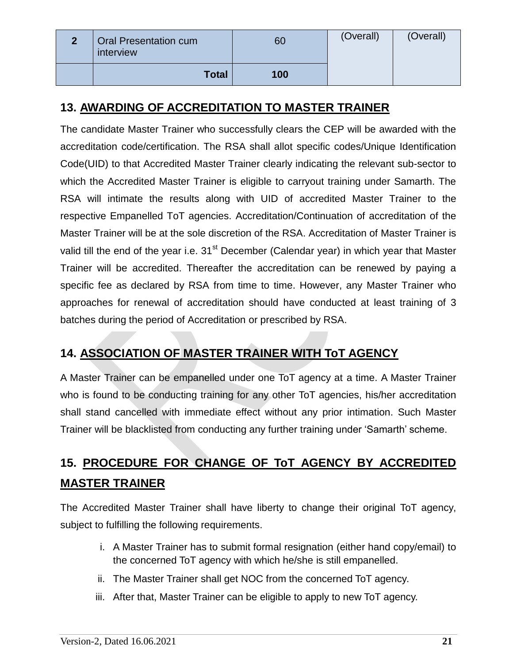| $\overline{2}$ | <b>Oral Presentation cum</b><br>interview | 60  | (Overall) | (Overall) |
|----------------|-------------------------------------------|-----|-----------|-----------|
|                | <b>Total</b>                              | 100 |           |           |

## **13. AWARDING OF ACCREDITATION TO MASTER TRAINER**

The candidate Master Trainer who successfully clears the CEP will be awarded with the accreditation code/certification. The RSA shall allot specific codes/Unique Identification Code(UID) to that Accredited Master Trainer clearly indicating the relevant sub-sector to which the Accredited Master Trainer is eligible to carryout training under Samarth. The RSA will intimate the results along with UID of accredited Master Trainer to the respective Empanelled ToT agencies. Accreditation/Continuation of accreditation of the Master Trainer will be at the sole discretion of the RSA. Accreditation of Master Trainer is valid till the end of the year i.e.  $31<sup>st</sup>$  December (Calendar year) in which year that Master Trainer will be accredited. Thereafter the accreditation can be renewed by paying a specific fee as declared by RSA from time to time. However, any Master Trainer who approaches for renewal of accreditation should have conducted at least training of 3 batches during the period of Accreditation or prescribed by RSA.

## **14. ASSOCIATION OF MASTER TRAINER WITH ToT AGENCY**

A Master Trainer can be empanelled under one ToT agency at a time. A Master Trainer who is found to be conducting training for any other ToT agencies, his/her accreditation shall stand cancelled with immediate effect without any prior intimation. Such Master Trainer will be blacklisted from conducting any further training under 'Samarth' scheme.

## **15. PROCEDURE FOR CHANGE OF ToT AGENCY BY ACCREDITED MASTER TRAINER**

The Accredited Master Trainer shall have liberty to change their original ToT agency, subject to fulfilling the following requirements.

- i. A Master Trainer has to submit formal resignation (either hand copy/email) to the concerned ToT agency with which he/she is still empanelled.
- ii. The Master Trainer shall get NOC from the concerned ToT agency.
- iii. After that, Master Trainer can be eligible to apply to new ToT agency.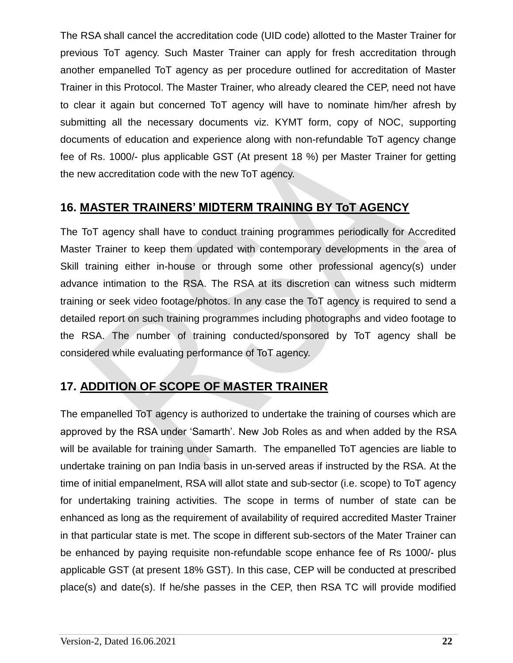The RSA shall cancel the accreditation code (UID code) allotted to the Master Trainer for previous ToT agency. Such Master Trainer can apply for fresh accreditation through another empanelled ToT agency as per procedure outlined for accreditation of Master Trainer in this Protocol. The Master Trainer, who already cleared the CEP, need not have to clear it again but concerned ToT agency will have to nominate him/her afresh by submitting all the necessary documents viz. KYMT form, copy of NOC, supporting documents of education and experience along with non-refundable ToT agency change fee of Rs. 1000/- plus applicable GST (At present 18 %) per Master Trainer for getting the new accreditation code with the new ToT agency.

## **16. MASTER TRAINERS' MIDTERM TRAINING BY ToT AGENCY**

The ToT agency shall have to conduct training programmes periodically for Accredited Master Trainer to keep them updated with contemporary developments in the area of Skill training either in-house or through some other professional agency(s) under advance intimation to the RSA. The RSA at its discretion can witness such midterm training or seek video footage/photos. In any case the ToT agency is required to send a detailed report on such training programmes including photographs and video footage to the RSA. The number of training conducted/sponsored by ToT agency shall be considered while evaluating performance of ToT agency.

## **17. ADDITION OF SCOPE OF MASTER TRAINER**

The empanelled ToT agency is authorized to undertake the training of courses which are approved by the RSA under 'Samarth'. New Job Roles as and when added by the RSA will be available for training under Samarth. The empanelled ToT agencies are liable to undertake training on pan India basis in un-served areas if instructed by the RSA. At the time of initial empanelment, RSA will allot state and sub-sector (i.e. scope) to ToT agency for undertaking training activities. The scope in terms of number of state can be enhanced as long as the requirement of availability of required accredited Master Trainer in that particular state is met. The scope in different sub-sectors of the Mater Trainer can be enhanced by paying requisite non-refundable scope enhance fee of Rs 1000/- plus applicable GST (at present 18% GST). In this case, CEP will be conducted at prescribed place(s) and date(s). If he/she passes in the CEP, then RSA TC will provide modified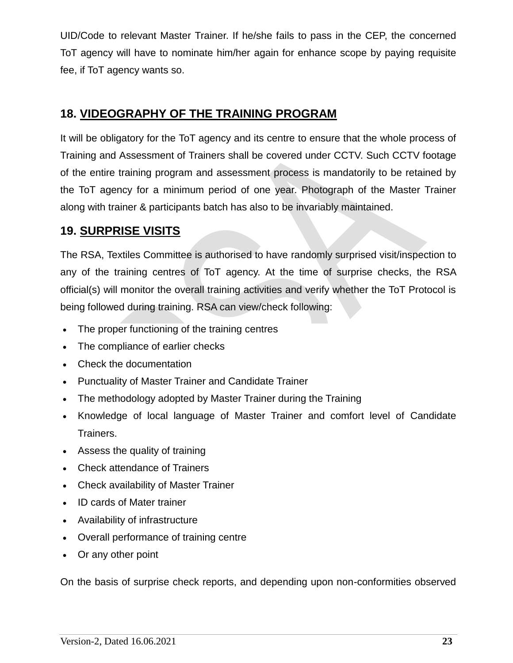UID/Code to relevant Master Trainer. If he/she fails to pass in the CEP, the concerned ToT agency will have to nominate him/her again for enhance scope by paying requisite fee, if ToT agency wants so.

## **18. VIDEOGRAPHY OF THE TRAINING PROGRAM**

It will be obligatory for the ToT agency and its centre to ensure that the whole process of Training and Assessment of Trainers shall be covered under CCTV. Such CCTV footage of the entire training program and assessment process is mandatorily to be retained by the ToT agency for a minimum period of one year. Photograph of the Master Trainer along with trainer & participants batch has also to be invariably maintained.

## **19. SURPRISE VISITS**

The RSA, Textiles Committee is authorised to have randomly surprised visit/inspection to any of the training centres of ToT agency. At the time of surprise checks, the RSA official(s) will monitor the overall training activities and verify whether the ToT Protocol is being followed during training. RSA can view/check following:

- The proper functioning of the training centres
- The compliance of earlier checks
- Check the documentation
- Punctuality of Master Trainer and Candidate Trainer
- The methodology adopted by Master Trainer during the Training
- Knowledge of local language of Master Trainer and comfort level of Candidate Trainers.
- Assess the quality of training
- Check attendance of Trainers
- Check availability of Master Trainer
- ID cards of Mater trainer
- Availability of infrastructure
- Overall performance of training centre
- Or any other point

On the basis of surprise check reports, and depending upon non-conformities observed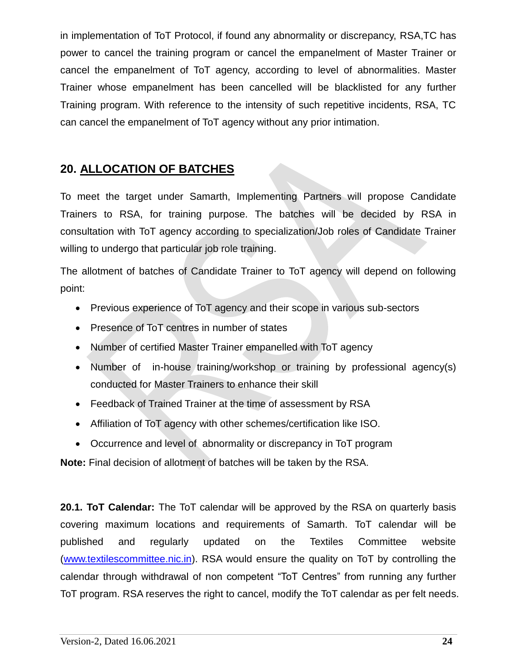in implementation of ToT Protocol, if found any abnormality or discrepancy, RSA,TC has power to cancel the training program or cancel the empanelment of Master Trainer or cancel the empanelment of ToT agency, according to level of abnormalities. Master Trainer whose empanelment has been cancelled will be blacklisted for any further Training program. With reference to the intensity of such repetitive incidents, RSA, TC can cancel the empanelment of ToT agency without any prior intimation.

## **20. ALLOCATION OF BATCHES**

To meet the target under Samarth, Implementing Partners will propose Candidate Trainers to RSA, for training purpose. The batches will be decided by RSA in consultation with ToT agency according to specialization/Job roles of Candidate Trainer willing to undergo that particular job role training.

The allotment of batches of Candidate Trainer to ToT agency will depend on following point:

- Previous experience of ToT agency and their scope in various sub-sectors
- Presence of ToT centres in number of states
- Number of certified Master Trainer empanelled with ToT agency
- Number of in-house training/workshop or training by professional agency(s) conducted for Master Trainers to enhance their skill
- Feedback of Trained Trainer at the time of assessment by RSA
- Affiliation of ToT agency with other schemes/certification like ISO.
- Occurrence and level of abnormality or discrepancy in ToT program

**Note:** Final decision of allotment of batches will be taken by the RSA.

**20.1. ToT Calendar:** The ToT calendar will be approved by the RSA on quarterly basis covering maximum locations and requirements of Samarth. ToT calendar will be published and regularly updated on the Textiles Committee website [\(www.textilescommittee.nic.in\)](http://www.textilescommittee.nic.in/). RSA would ensure the quality on ToT by controlling the calendar through withdrawal of non competent "ToT Centres" from running any further ToT program. RSA reserves the right to cancel, modify the ToT calendar as per felt needs.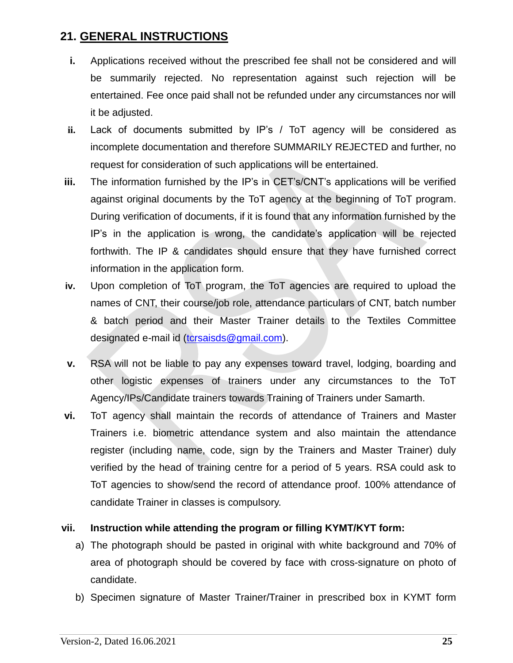## **21. GENERAL INSTRUCTIONS**

- **i.** Applications received without the prescribed fee shall not be considered and will be summarily rejected. No representation against such rejection will be entertained. Fee once paid shall not be refunded under any circumstances nor will it be adjusted.
- **ii.** Lack of documents submitted by IP's / ToT agency will be considered as incomplete documentation and therefore SUMMARILY REJECTED and further, no request for consideration of such applications will be entertained.
- **iii.** The information furnished by the IP's in CET's/CNT's applications will be verified against original documents by the ToT agency at the beginning of ToT program. During verification of documents, if it is found that any information furnished by the IP's in the application is wrong, the candidate's application will be rejected forthwith. The IP & candidates should ensure that they have furnished correct information in the application form.
- **iv.** Upon completion of ToT program, the ToT agencies are required to upload the names of CNT, their course/job role, attendance particulars of CNT, batch number & batch period and their Master Trainer details to the Textiles Committee designated e-mail id [\(tcrsaisds@gmail.com\)](mailto:tcrsaisds@gmail.com).
- **v.** RSA will not be liable to pay any expenses toward travel, lodging, boarding and other logistic expenses of trainers under any circumstances to the ToT Agency/IPs/Candidate trainers towards Training of Trainers under Samarth.
- **vi.** ToT agency shall maintain the records of attendance of Trainers and Master Trainers i.e. biometric attendance system and also maintain the attendance register (including name, code, sign by the Trainers and Master Trainer) duly verified by the head of training centre for a period of 5 years. RSA could ask to ToT agencies to show/send the record of attendance proof. 100% attendance of candidate Trainer in classes is compulsory.

#### **vii. Instruction while attending the program or filling KYMT/KYT form:**

- a) The photograph should be pasted in original with white background and 70% of area of photograph should be covered by face with cross-signature on photo of candidate.
- b) Specimen signature of Master Trainer/Trainer in prescribed box in KYMT form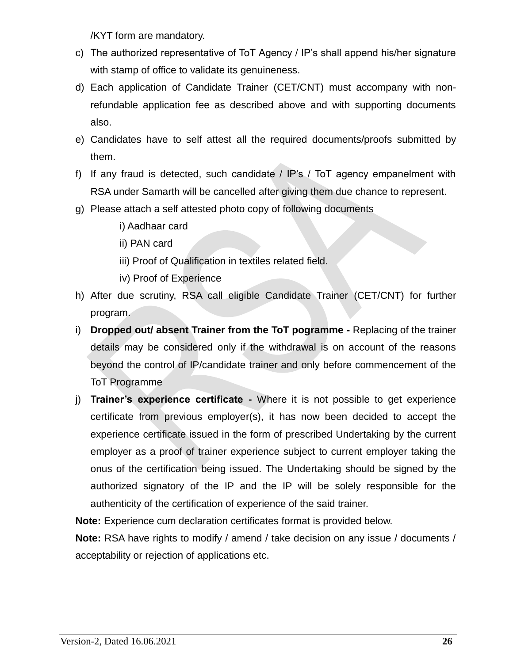/KYT form are mandatory.

- c) The authorized representative of ToT Agency / IP's shall append his/her signature with stamp of office to validate its genuineness.
- d) Each application of Candidate Trainer (CET/CNT) must accompany with nonrefundable application fee as described above and with supporting documents also.
- e) Candidates have to self attest all the required documents/proofs submitted by them.
- f) If any fraud is detected, such candidate / IP's / ToT agency empanelment with RSA under Samarth will be cancelled after giving them due chance to represent.
- g) Please attach a self attested photo copy of following documents
	- i) Aadhaar card
	- ii) PAN card
	- iii) Proof of Qualification in textiles related field.
	- iv) Proof of Experience
- h) After due scrutiny, RSA call eligible Candidate Trainer (CET/CNT) for further program.
- i) **Dropped out/ absent Trainer from the ToT pogramme -** Replacing of the trainer details may be considered only if the withdrawal is on account of the reasons beyond the control of IP/candidate trainer and only before commencement of the ToT Programme
- j) **Trainer's experience certificate -** Where it is not possible to get experience certificate from previous employer(s), it has now been decided to accept the experience certificate issued in the form of prescribed Undertaking by the current employer as a proof of trainer experience subject to current employer taking the onus of the certification being issued. The Undertaking should be signed by the authorized signatory of the IP and the IP will be solely responsible for the authenticity of the certification of experience of the said trainer.

**Note:** Experience cum declaration certificates format is provided below.

**Note:** RSA have rights to modify / amend / take decision on any issue / documents / acceptability or rejection of applications etc.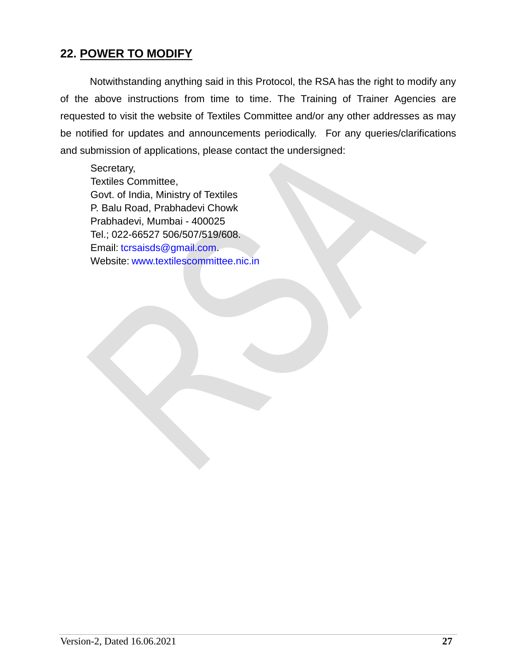#### **22. POWER TO MODIFY**

Notwithstanding anything said in this Protocol, the RSA has the right to modify any of the above instructions from time to time. The Training of Trainer Agencies are requested to visit the website of Textiles Committee and/or any other addresses as may be notified for updates and announcements periodically. For any queries/clarifications and submission of applications, please contact the undersigned:

Secretary, Textiles Committee, Govt. of India, Ministry of Textiles P. Balu Road, Prabhadevi Chowk Prabhadevi, Mumbai - 400025 Tel.; 022-66527 506/507/519/608. Email: [tcrsaisds@gmail.com.](mailto:tcrsaisds@gmail.com) Website: [www.textilescommittee.nic.in](http://www.textilescommittee.nic.in/)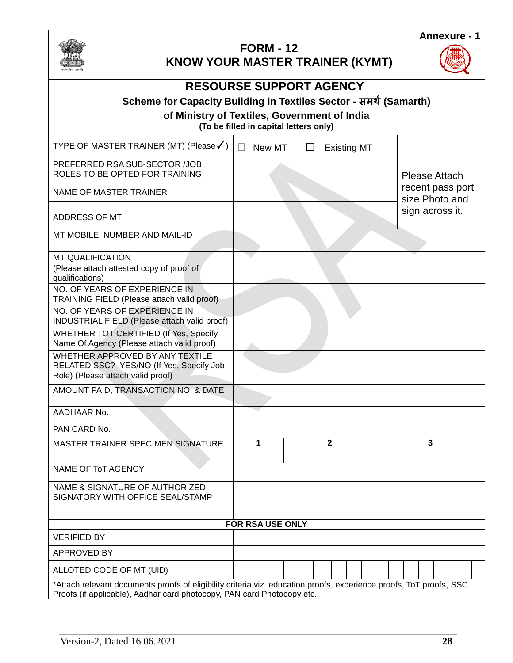

# **FORM - 12**



## **KNOW YOUR MASTER TRAINER (KYMT)**

| <b>RESOURSE SUPPORT AGENCY</b>                                                                                                                                                                |        |                    |                                    |  |  |
|-----------------------------------------------------------------------------------------------------------------------------------------------------------------------------------------------|--------|--------------------|------------------------------------|--|--|
| Scheme for Capacity Building in Textiles Sector - समर्थ (Samarth)                                                                                                                             |        |                    |                                    |  |  |
| of Ministry of Textiles, Government of India<br>(To be filled in capital letters only)                                                                                                        |        |                    |                                    |  |  |
| TYPE OF MASTER TRAINER (MT) (Please√)                                                                                                                                                         | New MT | <b>Existing MT</b> |                                    |  |  |
| PREFERRED RSA SUB-SECTOR /JOB<br>ROLES TO BE OPTED FOR TRAINING                                                                                                                               |        |                    | Please Attach                      |  |  |
| NAME OF MASTER TRAINER                                                                                                                                                                        |        |                    | recent pass port<br>size Photo and |  |  |
| ADDRESS OF MT                                                                                                                                                                                 |        |                    | sign across it.                    |  |  |
| MT MOBILE NUMBER AND MAIL-ID                                                                                                                                                                  |        |                    |                                    |  |  |
| <b>MT QUALIFICATION</b><br>(Please attach attested copy of proof of<br>qualifications)                                                                                                        |        |                    |                                    |  |  |
| NO. OF YEARS OF EXPERIENCE IN<br>TRAINING FIELD (Please attach valid proof)                                                                                                                   |        |                    |                                    |  |  |
| NO. OF YEARS OF EXPERIENCE IN<br>INDUSTRIAL FIELD (Please attach valid proof)                                                                                                                 |        |                    |                                    |  |  |
| WHETHER TOT CERTIFIED (If Yes, Specify<br>Name Of Agency (Please attach valid proof)                                                                                                          |        |                    |                                    |  |  |
| WHETHER APPROVED BY ANY TEXTILE<br>RELATED SSC? YES/NO (If Yes, Specify Job<br>Role) (Please attach valid proof)                                                                              |        |                    |                                    |  |  |
| AMOUNT PAID, TRANSACTION NO. & DATE                                                                                                                                                           |        |                    |                                    |  |  |
| AADHAAR No.                                                                                                                                                                                   |        |                    |                                    |  |  |
| PAN CARD No.                                                                                                                                                                                  |        |                    |                                    |  |  |
| MASTER TRAINER SPECIMEN SIGNATURE                                                                                                                                                             | 1      | $\mathbf{2}$       | 3                                  |  |  |
| NAME OF ToT AGENCY                                                                                                                                                                            |        |                    |                                    |  |  |
| NAME & SIGNATURE OF AUTHORIZED<br>SIGNATORY WITH OFFICE SEAL/STAMP                                                                                                                            |        |                    |                                    |  |  |
| FOR RSA USE ONLY                                                                                                                                                                              |        |                    |                                    |  |  |
| <b>VERIFIED BY</b>                                                                                                                                                                            |        |                    |                                    |  |  |
| APPROVED BY                                                                                                                                                                                   |        |                    |                                    |  |  |
| ALLOTED CODE OF MT (UID)                                                                                                                                                                      |        |                    |                                    |  |  |
| *Attach relevant documents proofs of eligibility criteria viz. education proofs, experience proofs, ToT proofs, SSC<br>Proofs (if applicable), Aadhar card photocopy, PAN card Photocopy etc. |        |                    |                                    |  |  |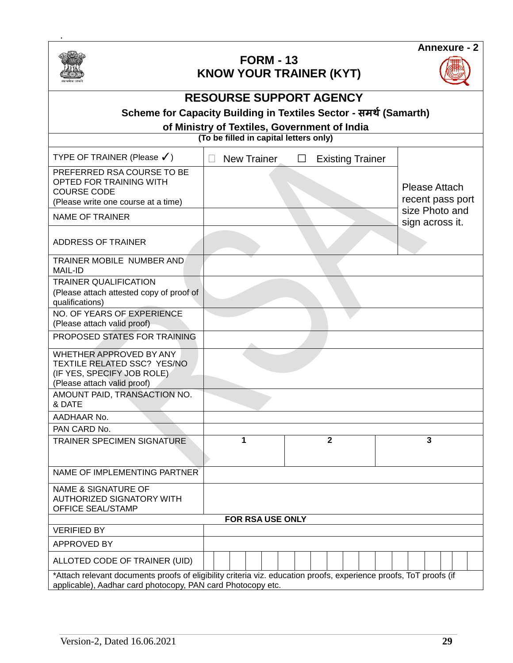

.

#### **FORM - 13 KNOW YOUR TRAINER (KYT)**



|  |  | <b>DEOQUBOE QUBBODT LAFUOV</b> |  |
|--|--|--------------------------------|--|
|  |  |                                |  |
|  |  |                                |  |

#### **RESOURSE SUPPORT AGENCY**

## **Scheme for Capacity Building in Textiles Sector - समर्थ(Samarth)**

#### **of Ministry of Textiles, Government of India**

**(To be filled in capital letters only)**

| TYPE OF TRAINER (Please $\checkmark$ )                                                                                                                                            |  | <b>New Trainer</b> |  | П |                |  | <b>Existing Trainer</b> |                                   |                |                  |
|-----------------------------------------------------------------------------------------------------------------------------------------------------------------------------------|--|--------------------|--|---|----------------|--|-------------------------|-----------------------------------|----------------|------------------|
| PREFERRED RSA COURSE TO BE<br>OPTED FOR TRAINING WITH<br><b>COURSE CODE</b><br>(Please write one course at a time)                                                                |  |                    |  |   |                |  |                         | Please Attach                     |                | recent pass port |
| <b>NAME OF TRAINER</b>                                                                                                                                                            |  |                    |  |   |                |  |                         | size Photo and<br>sign across it. |                |                  |
| ADDRESS OF TRAINER                                                                                                                                                                |  |                    |  |   |                |  |                         |                                   |                |                  |
| TRAINER MOBILE NUMBER AND<br><b>MAIL-ID</b>                                                                                                                                       |  |                    |  |   |                |  |                         |                                   |                |                  |
| <b>TRAINER QUALIFICATION</b><br>(Please attach attested copy of proof of<br>qualifications)                                                                                       |  |                    |  |   |                |  |                         |                                   |                |                  |
| NO. OF YEARS OF EXPERIENCE<br>(Please attach valid proof)                                                                                                                         |  |                    |  |   |                |  |                         |                                   |                |                  |
| PROPOSED STATES FOR TRAINING                                                                                                                                                      |  |                    |  |   |                |  |                         |                                   |                |                  |
| WHETHER APPROVED BY ANY<br><b>TEXTILE RELATED SSC? YES/NO</b><br>(IF YES, SPECIFY JOB ROLE)<br>(Please attach valid proof)                                                        |  |                    |  |   |                |  |                         |                                   |                |                  |
| AMOUNT PAID, TRANSACTION NO.<br>& DATE                                                                                                                                            |  |                    |  |   |                |  |                         |                                   |                |                  |
| AADHAAR No.                                                                                                                                                                       |  |                    |  |   |                |  |                         |                                   |                |                  |
| PAN CARD No.                                                                                                                                                                      |  |                    |  |   |                |  |                         |                                   |                |                  |
| TRAINER SPECIMEN SIGNATURE                                                                                                                                                        |  | 1                  |  |   | $\overline{2}$ |  |                         |                                   | $\overline{3}$ |                  |
| NAME OF IMPLEMENTING PARTNER                                                                                                                                                      |  |                    |  |   |                |  |                         |                                   |                |                  |
| <b>NAME &amp; SIGNATURE OF</b><br><b>AUTHORIZED SIGNATORY WITH</b><br><b>OFFICE SEAL/STAMP</b>                                                                                    |  |                    |  |   |                |  |                         |                                   |                |                  |
| FOR RSA USE ONLY                                                                                                                                                                  |  |                    |  |   |                |  |                         |                                   |                |                  |
| <b>VERIFIED BY</b>                                                                                                                                                                |  |                    |  |   |                |  |                         |                                   |                |                  |
| APPROVED BY                                                                                                                                                                       |  |                    |  |   |                |  |                         |                                   |                |                  |
| ALLOTED CODE OF TRAINER (UID)                                                                                                                                                     |  |                    |  |   |                |  |                         |                                   |                |                  |
| *Attach relevant documents proofs of eligibility criteria viz. education proofs, experience proofs, ToT proofs (if<br>applicable), Aadhar card photocopy, PAN card Photocopy etc. |  |                    |  |   |                |  |                         |                                   |                |                  |